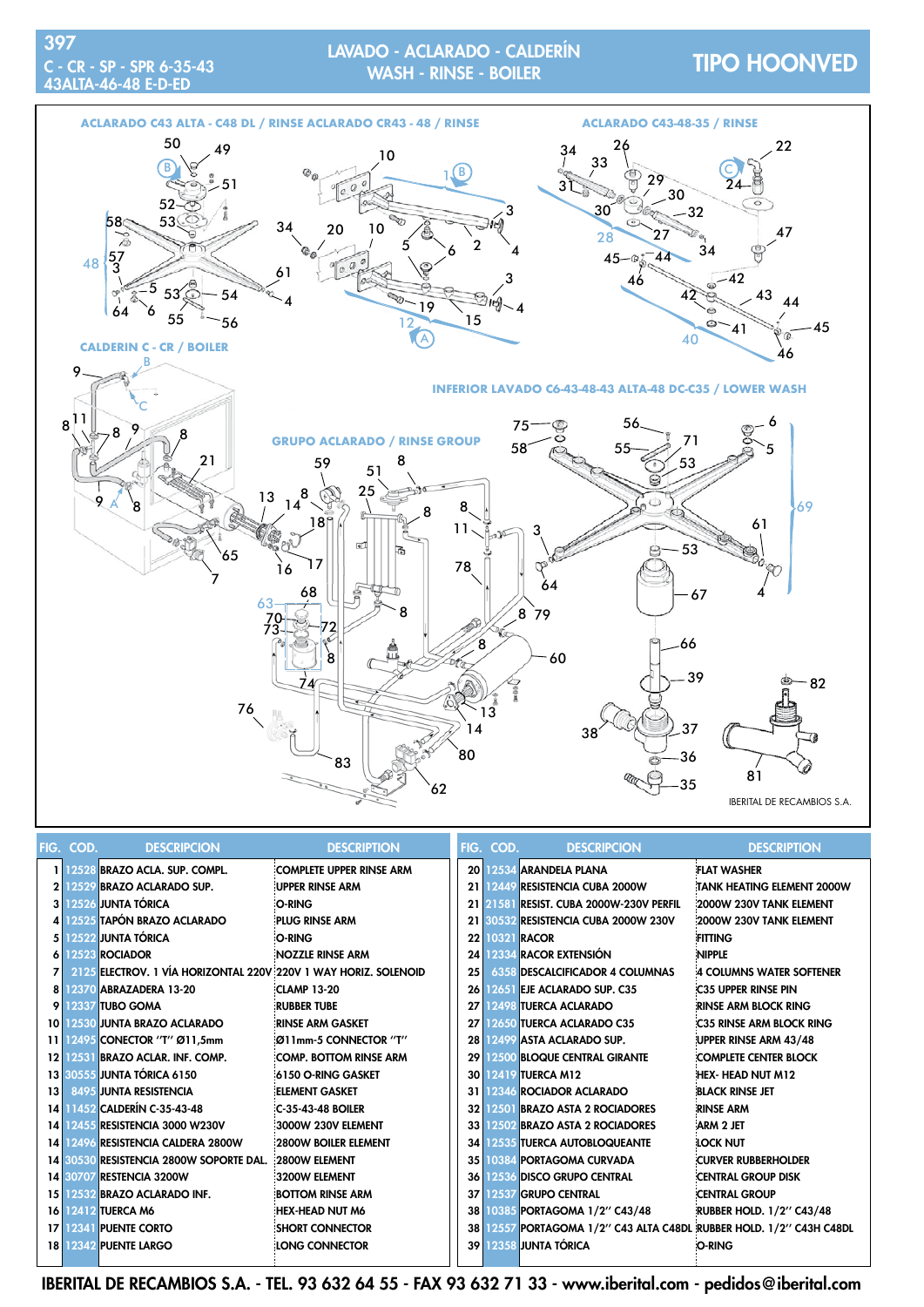## TIPO HOONVED LAVADO - ACLARADO - CALDERÍN



|                 | FIG. COD. | <b>DESCRIPCION</b>                                              | <b>DESCRIPTION</b>              |      | FIG. COD. | <b>DESCRIPCION</b>                                                  | <b>DESCRIPTION</b>                |
|-----------------|-----------|-----------------------------------------------------------------|---------------------------------|------|-----------|---------------------------------------------------------------------|-----------------------------------|
|                 |           | 1 12528 BRAZO ACLA. SUP. COMPL.                                 | <b>COMPLETE UPPER RINSE ARM</b> |      |           | 20 2534 ARANDELA PLANA                                              | <b>FLAT WASHER</b>                |
|                 |           | 2 12529 BRAZO ACLARADO SUP.                                     | UPPER RINSE ARM                 |      |           | 21 2449 RESISTENCIA CUBA 2000W                                      | <b>TANK HEATING ELEMENT 2000W</b> |
|                 |           | 3 12526 JUNTA TÓRICA                                            | O-RING                          |      | 21 21581  | <b>RESIST. CUBA 2000W-230V PERFIL</b>                               | 2000W 230V TANK ELEMENT           |
|                 |           | 4 2525 TAPÓN BRAZO ACLARADO                                     | PLUG RINSE ARM                  |      |           | 21 30532 RESISTENCIA CUBA 2000W 230V                                | 2000W 230V TANK ELEMENT           |
|                 |           | 5 12522 JUNTA TÓRICA                                            | O-RING                          |      |           | 22 10321 RACOR                                                      | <b>FITTING</b>                    |
|                 |           | 6 12523 ROCIADOR                                                | NOZZLE RINSE ARM                |      |           | 24 2334 RACOR EXTENSIÓN                                             | <b>NIPPLE</b>                     |
|                 |           | 2125 ELECTROV. 1 VÍA HORIZONTAL 220V 220V 1 WAY HORIZ. SOLENOID |                                 | 25   |           | <b>6358 DESCALCIFICADOR 4 COLUMNAS</b>                              | 4 COLUMNS WATER SOFTENER          |
|                 |           | 8 12370 ABRAZADERA 13-20                                        | <b>CLAMP 13-20</b>              |      |           | 26 2651 EJE ACLARADO SUP. C35                                       | <b>C35 UPPER RINSE PIN</b>        |
|                 |           | <b>9 12337 TUBO GOMA</b>                                        | <b>RUBBER TUBE</b>              |      |           | 27 12498 TUERCA ACLARADO                                            | <b>RINSE ARM BLOCK RING</b>       |
|                 |           | 10 2530 JUNTA BRAZO ACLARADO                                    | RINSE ARM GASKET!               |      |           | 27 2650 TUERCA ACLARADO C35                                         | <b>C35 RINSE ARM BLOCK RING</b>   |
|                 |           | 11 12495 CONECTOR "T" Ø11,5mm                                   | :Ø11mm-5 CONNECTOR "T"          |      |           | 28 2499 ASTA ACLARADO SUP.                                          | UPPER RINSE ARM 43/48             |
|                 |           | 12 2531 BRAZO ACLAR. INF. COMP.                                 | <b>COMP. BOTTOM RINSE ARM</b>   |      |           | 29 12500 BLOQUE CENTRAL GIRANTE                                     | <b>COMPLETE CENTER BLOCK</b>      |
|                 |           | 13 30555 JUNTA TÓRICA 6150                                      | 6150 O-RING GASKET              |      |           | 30 12419 TUERCA M12                                                 | <b>HEX- HEAD NUT M12</b>          |
| 13 <sup>1</sup> |           | 8495 JUNTA RESISTENCIA                                          | <b>ELEMENT GASKET</b>           |      |           | 31 2346 ROCIADOR ACLARADO                                           | <b>BLACK RINSE JET</b>            |
|                 |           | 14 1452 CALDERÍN C-35-43-48                                     | C-35-43-48 BOILER               |      |           | 32 1250 I BRAZO ASTA 2 ROCIADORES                                   | <b>RINSE ARM</b>                  |
|                 |           | 14 2455 RESISTENCIA 3000 W230V                                  | 3000W 230V ELEMENT              |      |           | 33 2502 BRAZO ASTA 2 ROCIADORES                                     | <b>ARM 2 JET</b>                  |
|                 |           | 14 12496 RESISTENCIA CALDERA 2800W                              | 2800W BOILER ELEMENT            | 34 I |           | 12535 TUERCA AUTOBLOQUEANTE                                         | Lock Nut                          |
|                 |           | 14 30530 RESISTENCIA 2800W SOPORTE DAL.                         | 2800W ELEMENT                   |      |           | 35 0384 PORTAGOMA CURVADA                                           | <b>CURVER RUBBERHOLDER</b>        |
|                 |           | 14 30707 RESTENCIA 3200W                                        | 3200W ELEMENT                   |      |           | 36 2536 DISCO GRUPO CENTRAL                                         | <b>CENTRAL GROUP DISK</b>         |
|                 |           | 15 2532 BRAZO ACLARADO INF.                                     | <b>BOTTOM RINSE ARM</b>         |      |           | 37 12537 GRUPO CENTRAL                                              | <b>CENTRAL GROUP</b>              |
|                 |           | 16 12412 TUERCA M6                                              | HEX-HEAD NUT M6                 | 38 I |           | 10385 PORTAGOMA 1/2" C43/48                                         | <b>RUBBER HOLD. 1/2" C43/48</b>   |
|                 |           | 17 12341 PUENTE CORTO                                           | <b>SHORT CONNECTOR</b>          |      |           | 38 12557 PORTAGOMA 1/2" C43 ALTA C48DL RUBBER HOLD. 1/2" C43H C48DL |                                   |
|                 |           | <b>18 12342 PUENTE LARGO</b>                                    | LONG CONNECTOR                  |      |           | <b>39 12358 JUNTA TÓRICA</b>                                        | <b>O-RING</b>                     |
|                 |           |                                                                 |                                 |      |           |                                                                     |                                   |

IBERITAL DE RECAMBIOS S.A. - TEL. 93 632 64 55 - FAX 93 632 71 33 - www.iberital.com - pedidos@iberital.com